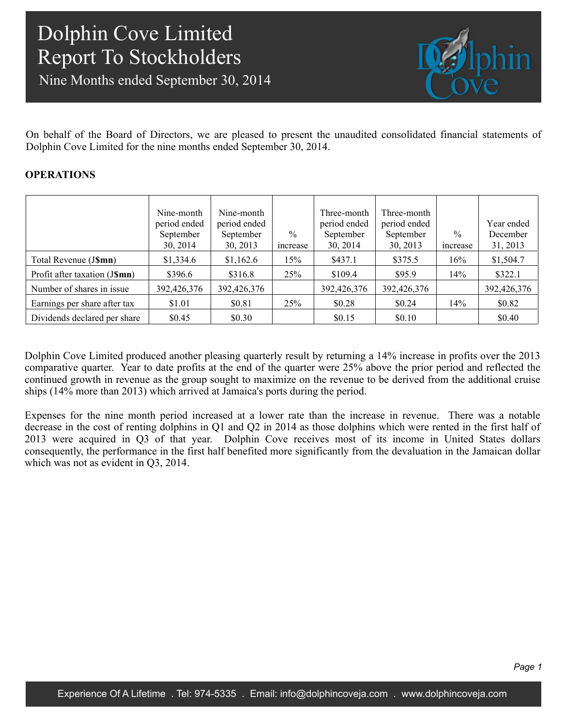Nine Months ended September 30, 2014



On behalf of the Board of Directors, we are pleased to present the unaudited consolidated financial statements of Dolphin Cove Limited for the nine months ended September 30, 2014.

## **OPERATIONS**

|                               | Nine-month<br>period ended<br>September<br>30, 2014 | Nine-month<br>period ended<br>September<br>30, 2013 | $\%$<br>increase | Three-month<br>period ended<br>September<br>30, 2014 | Three-month<br>period ended<br>September<br>30, 2013 | $\frac{0}{0}$<br>increase | Year ended<br>December<br>31, 2013 |
|-------------------------------|-----------------------------------------------------|-----------------------------------------------------|------------------|------------------------------------------------------|------------------------------------------------------|---------------------------|------------------------------------|
| Total Revenue (J\$mn)         | \$1,334.6                                           | \$1,162.6                                           | 15%              | \$437.1                                              | \$375.5                                              | 16%                       | \$1,504.7                          |
| Profit after taxation (J\$mn) | \$396.6                                             | \$316.8                                             | 25%              | \$109.4                                              | \$95.9                                               | 14%                       | \$322.1                            |
| Number of shares in issue     | 392,426,376                                         | 392,426,376                                         |                  | 392,426,376                                          | 392,426,376                                          |                           | 392,426,376                        |
| Earnings per share after tax  | \$1.01                                              | \$0.81                                              | 25%              | \$0.28                                               | \$0.24                                               | 14%                       | \$0.82                             |
| Dividends declared per share  | \$0.45                                              | \$0.30                                              |                  | \$0.15                                               | \$0.10                                               |                           | \$0.40                             |

Dolphin Cove Limited produced another pleasing quarterly result by returning a 14% increase in profits over the 2013 comparative quarter. Year to date profits at the end of the quarter were 25% above the prior period and reflected the continued growth in revenue as the group sought to maximize on the revenue to be derived from the additional cruise ships (14% more than 2013) which arrived at Jamaica's ports during the period.

Expenses for the nine month period increased at a lower rate than the increase in revenue. There was a notable decrease in the cost of renting dolphins in Q1 and Q2 in 2014 as those dolphins which were rented in the first half of 2013 were acquired in Q3 of that year. Dolphin Cove receives most of its income in United States dollars consequently, the performance in the first half benefited more significantly from the devaluation in the Jamaican dollar which was not as evident in Q3, 2014.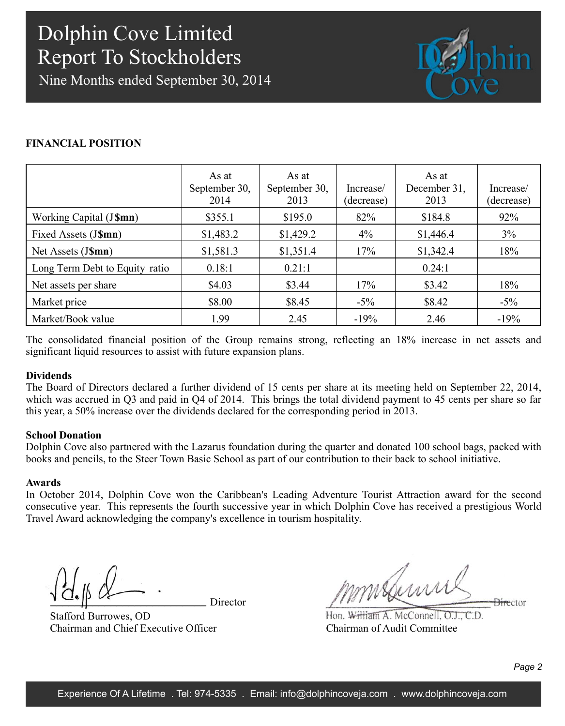Nine Months ended September 30, 2014



## **FINANCIAL POSITION**

|                                | As at<br>September 30,<br>2014 | As at<br>September 30,<br>2013 | Increase/<br>(decrease) | As at<br>December 31,<br>2013 | Increase/<br>(decrease) |
|--------------------------------|--------------------------------|--------------------------------|-------------------------|-------------------------------|-------------------------|
| Working Capital (J\$mn)        | \$355.1                        | \$195.0                        | 82%                     | \$184.8                       | 92%                     |
| Fixed Assets (J\$mn)           | \$1,483.2                      | \$1,429.2                      | $4\%$                   | \$1,446.4                     | 3%                      |
| Net Assets (J\$mn)             | \$1,581.3                      | \$1,351.4                      | 17%                     | \$1,342.4                     | 18%                     |
| Long Term Debt to Equity ratio | 0.18:1                         | 0.21:1                         |                         | 0.24:1                        |                         |
| Net assets per share           | \$4.03                         | \$3.44                         | 17%                     | \$3.42                        | 18%                     |
| Market price                   | \$8.00                         | \$8.45                         | $-5\%$                  | \$8.42                        | $-5\%$                  |
| Market/Book value              | 1.99                           | 2.45                           | $-19%$                  | 2.46                          | $-19%$                  |

The consolidated financial position of the Group remains strong, reflecting an 18% increase in net assets and significant liquid resources to assist with future expansion plans.

## **Dividends**

The Board of Directors declared a further dividend of 15 cents per share at its meeting held on September 22, 2014, which was accrued in Q3 and paid in Q4 of 2014. This brings the total dividend payment to 45 cents per share so far this year, a 50% increase over the dividends declared for the corresponding period in 2013.

## **School Donation**

Dolphin Cove also partnered with the Lazarus foundation during the quarter and donated 100 school bags, packed with books and pencils, to the Steer Town Basic School as part of our contribution to their back to school initiative.

## **Awards**

In October 2014, Dolphin Cove won the Caribbean's Leading Adventure Tourist Attraction award for the second consecutive year. This represents the fourth successive year in which Dolphin Cove has received a prestigious World Travel Award acknowledging the company's excellence in tourism hospitality.

Director

Stafford Burrowes, OD Chairman and Chief Executive Officer

mmsbunn **Director** 

Hon. William A. McConnell, O.L. C.D. Chairman of Audit Committee

*Page 2*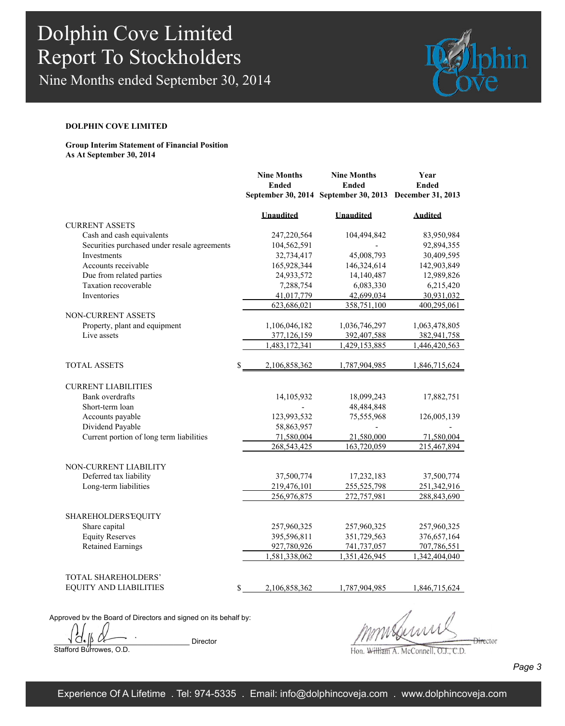Nine Months ended September 30, 2014



### **DOLPHIN COVE LIMITED**

### **Group Interim Statement of Financial Position As At September 30, 2014**

|                                              | <b>Nine Months</b>  | <b>Nine Months</b>                                      | Year           |
|----------------------------------------------|---------------------|---------------------------------------------------------|----------------|
|                                              | <b>Ended</b>        | <b>Ended</b>                                            | <b>Ended</b>   |
|                                              |                     | September 30, 2014 September 30, 2013 December 31, 2013 |                |
|                                              | <b>Unaudited</b>    | <b>Unaudited</b>                                        | <b>Audited</b> |
| <b>CURRENT ASSETS</b>                        |                     |                                                         |                |
| Cash and cash equivalents                    | 247,220,564         | 104,494,842                                             | 83,950,984     |
| Securities purchased under resale agreements | 104,562,591         |                                                         | 92,894,355     |
| Investments                                  | 32,734,417          | 45,008,793                                              | 30,409,595     |
| Accounts receivable                          | 165,928,344         | 146,324,614                                             | 142,903,849    |
| Due from related parties                     | 24,933,572          | 14,140,487                                              | 12,989,826     |
| Taxation recoverable                         | 7,288,754           | 6,083,330                                               | 6,215,420      |
| Inventories                                  | 41,017,779          | 42,699,034                                              | 30,931,032     |
|                                              | 623,686,021         | 358,751,100                                             | 400,295,061    |
| <b>NON-CURRENT ASSETS</b>                    |                     |                                                         |                |
| Property, plant and equipment                | 1,106,046,182       | 1,036,746,297                                           | 1,063,478,805  |
| Live assets                                  | 377,126,159         | 392,407,588                                             | 382,941,758    |
|                                              | 1,483,172,341       | 1,429,153,885                                           | 1,446,420,563  |
| <b>TOTAL ASSETS</b>                          | 2,106,858,362       | 1,787,904,985                                           | 1,846,715,624  |
|                                              |                     |                                                         |                |
| <b>CURRENT LIABILITIES</b>                   |                     |                                                         |                |
| Bank overdrafts                              | 14,105,932          | 18,099,243                                              | 17,882,751     |
| Short-term loan                              |                     | 48,484,848                                              |                |
| Accounts payable                             | 123,993,532         | 75,555,968                                              | 126,005,139    |
| Dividend Payable                             | 58,863,957          |                                                         |                |
| Current portion of long term liabilities     | 71,580,004          | 21,580,000                                              | 71,580,004     |
|                                              | 268,543,425         | 163,720,059                                             | 215,467,894    |
|                                              |                     |                                                         |                |
| NON-CURRENT LIABILITY                        |                     |                                                         |                |
| Deferred tax liability                       | 37,500,774          | 17,232,183                                              | 37,500,774     |
| Long-term liabilities                        | 219,476,101         | 255,525,798                                             | 251,342,916    |
|                                              | 256,976,875         | 272,757,981                                             | 288,843,690    |
| <b>SHAREHOLDERS EQUITY</b>                   |                     |                                                         |                |
| Share capital                                | 257,960,325         | 257,960,325                                             | 257,960,325    |
| <b>Equity Reserves</b>                       | 395,596,811         | 351,729,563                                             | 376,657,164    |
| <b>Retained Earnings</b>                     | 927,780,926         | 741,737,057                                             | 707,786,551    |
|                                              | 1,581,338,062       | 1,351,426,945                                           | 1,342,404,040  |
|                                              |                     |                                                         |                |
| TOTAL SHAREHOLDERS'                          |                     |                                                         |                |
| <b>EQUITY AND LIABILITIES</b>                | \$<br>2,106,858,362 | 1,787,904,985                                           | 1,846,715,624  |
|                                              |                     |                                                         |                |

Approved by the Board of Directors and signed on its behalf by:

Director

Stafford Burrowes, O.D.

 $\frac{1}{2}$ 

Hon. William A. McConnell, O.J., C.D.

*Page 3*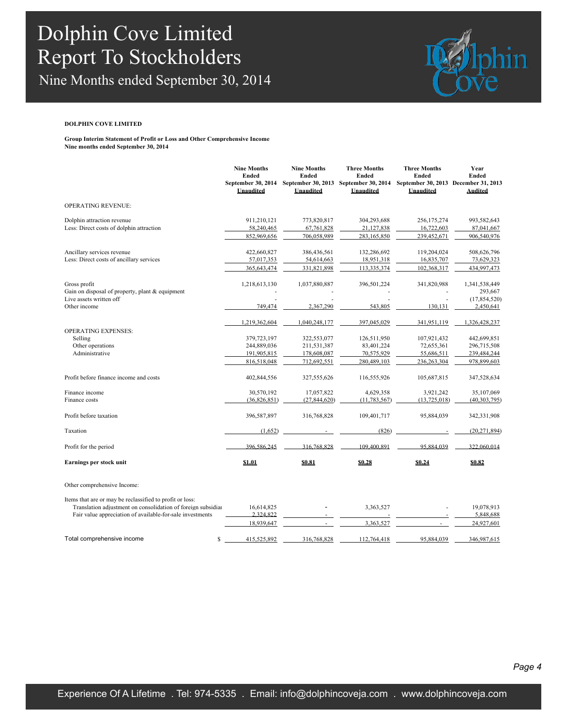Nine Months ended September 30, 2014



#### **DOLPHIN COVE LIMITED**

**Group Interim Statement of Profit or Loss and Other Comprehensive Income Nine months ended September 30, 2014**

|                                                                                                            | <b>Nine Months</b><br><b>Ended</b><br>September 30, 2014<br>Unaudited     | <b>Nine Months</b><br><b>Ended</b><br>September 30, 2013<br>Unaudited     | <b>Three Months</b><br>Ended<br>September 30, 2014<br>Unaudited       | <b>Three Months</b><br>Ended<br>September 30, 2013 December 31, 2013<br>Unaudited | Year<br>Ended<br><b>Audited</b>                                           |
|------------------------------------------------------------------------------------------------------------|---------------------------------------------------------------------------|---------------------------------------------------------------------------|-----------------------------------------------------------------------|-----------------------------------------------------------------------------------|---------------------------------------------------------------------------|
| <b>OPERATING REVENUE:</b>                                                                                  |                                                                           |                                                                           |                                                                       |                                                                                   |                                                                           |
| Dolphin attraction revenue                                                                                 | 911,210,121                                                               | 773,820,817                                                               | 304,293,688                                                           | 256,175,274                                                                       | 993,582,643                                                               |
| Less: Direct costs of dolphin attraction                                                                   | 58,240,465<br>852,969,656                                                 | 67,761,828<br>706,058,989                                                 | 21,127,838<br>283,165,850                                             | 16,722,603<br>239,452,671                                                         | 87,041,667<br>906,540,976                                                 |
| Ancillary services revenue<br>Less: Direct costs of ancillary services                                     | 422,660,827<br>57,017,353<br>365, 643, 474                                | 386,436,561<br>54,614,663<br>331,821,898                                  | 132,286,692<br>18,951,318<br>113,335,374                              | 119,204,024<br>16,835,707<br>102,368,317                                          | 508,626,796<br>73,629,323<br>434,997,473                                  |
| Gross profit<br>Gain on disposal of property, plant & equipment<br>Live assets written off<br>Other income | 1,218,613,130<br>749,474                                                  | 1,037,880,887<br>2.367.290                                                | 396,501,224<br>543.805                                                | 341,820,988<br>130,131                                                            | 1,341,538,449<br>293,667<br>(17, 854, 520)<br>2,450,641                   |
| <b>OPERATING EXPENSES:</b><br>Selling<br>Other operations<br>Administrative                                | 1,219,362,604<br>379,723,197<br>244,889,036<br>191,905,815<br>816,518,048 | 1,040,248,177<br>322,553,077<br>211,531,387<br>178,608,087<br>712,692,551 | 397,045,029<br>126,511,950<br>83,401,224<br>70,575,929<br>280,489,103 | 341,951,119<br>107,921,432<br>72,655,361<br>55,686,511<br>236,263,304             | 1,326,428,237<br>442,699,851<br>296,715,508<br>239,484,244<br>978,899,603 |
| Profit before finance income and costs                                                                     | 402,844,556                                                               | 327,555,626                                                               | 116,555,926                                                           | 105,687,815                                                                       | 347,528,634                                                               |
| Finance income<br>Finance costs                                                                            | 30,570,192<br>(36,826,851)                                                | 17,057,822<br>(27, 844, 620)                                              | 4,629,358<br>(11, 783, 567)                                           | 3,921,242<br>(13,725,018)                                                         | 35,107,069<br>(40, 303, 795)                                              |
| Profit before taxation                                                                                     | 396,587,897                                                               | 316,768,828                                                               | 109,401,717                                                           | 95,884,039                                                                        | 342,331,908                                                               |
| Taxation                                                                                                   | (1,652)                                                                   |                                                                           | (826)                                                                 |                                                                                   | (20, 271, 894)                                                            |
| Profit for the period                                                                                      | 396.586.245                                                               | 316.768.828                                                               | 109.400.891                                                           | 95.884.039                                                                        | 322,060,014                                                               |
| Earnings per stock unit                                                                                    | \$1.01                                                                    | \$0.81                                                                    | \$0.28                                                                | \$0.24                                                                            | \$0.82                                                                    |
| Other comprehensive Income:                                                                                |                                                                           |                                                                           |                                                                       |                                                                                   |                                                                           |

Items that are or may be reclassified to profit or loss:

| Translation adjustment on consolidation of foreign subsidiar | 16.614.825  |             | 3,363,527   | $\overline{\phantom{a}}$ | 19.078.913  |
|--------------------------------------------------------------|-------------|-------------|-------------|--------------------------|-------------|
| Fair value appreciation of available-for-sale investments    | 2.324.822   |             |             |                          | 5.848.688   |
|                                                              | 18.939.647  |             | 3.363.527   |                          | 24.927.601  |
| Total comprehensive income                                   | 415.525.892 | 316.768.828 | 112.764.418 | 95.884.039               | 346.987.615 |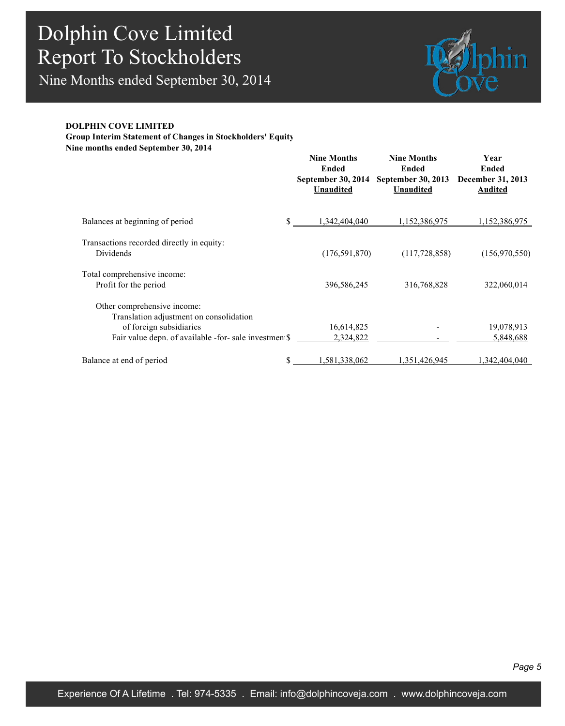Nine Months ended September 30, 2014



### **DOLPHIN COVE LIMITED**

**Group Interim Statement of Changes in Stockholders' Equity Nine months ended September 30, 2014**

|                                                                                                   | <b>Nine Months</b><br>Ended<br>September 30, 2014<br><b>Unaudited</b> | <b>Nine Months</b><br>Ended<br>September 30, 2013<br><b>Unaudited</b> | Year<br>Ended<br>December 31, 2013<br><b>Audited</b> |
|---------------------------------------------------------------------------------------------------|-----------------------------------------------------------------------|-----------------------------------------------------------------------|------------------------------------------------------|
| Balances at beginning of period<br>\$                                                             | 1,342,404,040                                                         | 1,152,386,975                                                         | 1,152,386,975                                        |
| Transactions recorded directly in equity.<br>Dividends                                            | (176, 591, 870)                                                       | (117, 728, 858)                                                       | (156,970,550)                                        |
| Total comprehensive income:<br>Profit for the period                                              | 396,586,245                                                           | 316,768,828                                                           | 322,060,014                                          |
| Other comprehensive income:<br>Translation adjustment on consolidation<br>of foreign subsidiaries | 16,614,825                                                            |                                                                       | 19,078,913                                           |
| Fair value depn. of available -for- sale investmen \$                                             | 2,324,822                                                             |                                                                       | 5,848,688                                            |
| \$<br>Balance at end of period                                                                    | 1,581,338,062                                                         | 1,351,426,945                                                         | 1,342,404,040                                        |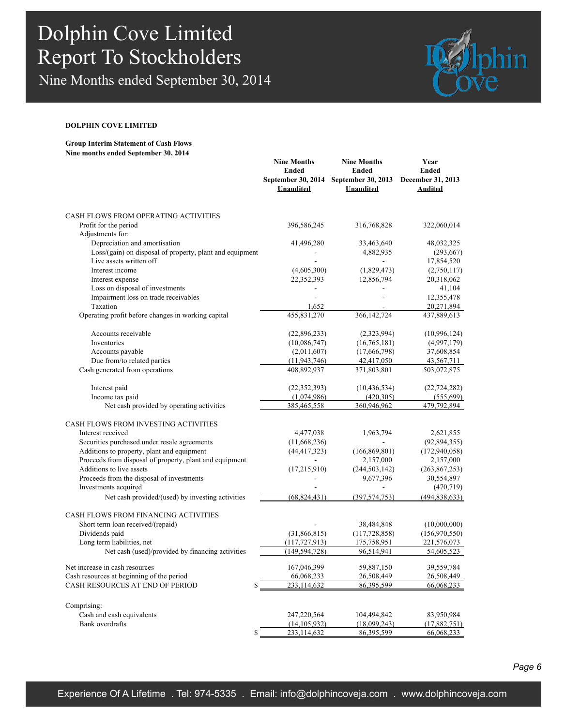Nine Months ended September 30, 2014



#### **DOLPHIN COVE LIMITED**

**Group Interim Statement of Cash Flows Nine months ended September 30, 2014**

|                                                          | <b>Nine Months</b><br><b>Ended</b><br><b>Unaudited</b> | <b>Nine Months</b><br><b>Ended</b><br>September 30, 2014 September 30, 2013 December 31, 2013<br><b>Unaudited</b> | Year<br><b>Ended</b><br><b>Audited</b> |
|----------------------------------------------------------|--------------------------------------------------------|-------------------------------------------------------------------------------------------------------------------|----------------------------------------|
| CASH FLOWS FROM OPERATING ACTIVITIES                     |                                                        |                                                                                                                   |                                        |
| Profit for the period<br>Adjustments for:                | 396,586,245                                            | 316,768,828                                                                                                       | 322,060,014                            |
| Depreciation and amortisation                            | 41,496,280                                             | 33,463,640                                                                                                        | 48,032,325                             |
| Loss/(gain) on disposal of property, plant and equipment |                                                        | 4,882,935                                                                                                         | (293, 667)                             |
| Live assets written off                                  |                                                        |                                                                                                                   | 17,854,520                             |
| Interest income                                          | (4,605,300)                                            | (1,829,473)                                                                                                       | (2,750,117)                            |
| Interest expense                                         | 22,352,393                                             | 12,856,794                                                                                                        | 20,318,062                             |
| Loss on disposal of investments                          |                                                        |                                                                                                                   | 41,104                                 |
| Impairment loss on trade receivables<br>Taxation         |                                                        |                                                                                                                   | 12,355,478<br>20,271,894               |
| Operating profit before changes in working capital       | 1,652<br>455,831,270                                   | 366, 142, 724                                                                                                     | 437,889,613                            |
|                                                          |                                                        |                                                                                                                   |                                        |
| Accounts receivable                                      | (22,896,233)                                           | (2,323,994)                                                                                                       | (10,996,124)                           |
| Inventories                                              | (10,086,747)                                           | (16,765,181)                                                                                                      | (4,997,179)                            |
| Accounts payable                                         | (2,011,607)                                            | (17,666,798)                                                                                                      | 37,608,854                             |
| Due from/to related parties                              | (11, 943, 746)                                         | 42,417,050                                                                                                        | 43,567,711                             |
| Cash generated from operations                           | 408,892,937                                            | 371,803,801                                                                                                       | 503,072,875                            |
| Interest paid                                            | (22, 352, 393)                                         | (10, 436, 534)                                                                                                    | (22, 724, 282)                         |
| Income tax paid                                          | (1,074,986)                                            | (420,305)                                                                                                         | (555,699)                              |
| Net cash provided by operating activities                | 385,465,558                                            | 360,946,962                                                                                                       | 479,792,894                            |
| <b>CASH FLOWS FROM INVESTING ACTIVITIES</b>              |                                                        |                                                                                                                   |                                        |
| Interest received                                        | 4,477,038                                              | 1,963,794                                                                                                         | 2,621,855                              |
| Securities purchased under resale agreements             | (11,668,236)                                           |                                                                                                                   | (92,894,355)                           |
| Additions to property, plant and equipment               | (44, 417, 323)                                         | (166, 869, 801)                                                                                                   | (172, 940, 058)                        |
| Proceeds from disposal of property, plant and equipment  | $\overline{a}$                                         | 2,157,000                                                                                                         | 2,157,000                              |
| Additions to live assets                                 | (17,215,910)                                           | (244, 503, 142)                                                                                                   | (263, 867, 253)                        |
| Proceeds from the disposal of investments                |                                                        | 9,677,396                                                                                                         | 30,554,897                             |
| Investments acquired                                     |                                                        |                                                                                                                   | (470, 719)                             |
| Net cash provided/(used) by investing activities         | (68, 824, 431)                                         | (397, 574, 753)                                                                                                   | (494, 838, 633)                        |
| CASH FLOWS FROM FINANCING ACTIVITIES                     |                                                        |                                                                                                                   |                                        |
| Short term loan received/(repaid)                        |                                                        | 38,484,848                                                                                                        | (10,000,000)                           |
| Dividends paid                                           | (31,866,815)                                           | (117, 728, 858)                                                                                                   | (156,970,550)                          |
| Long term liabilities, net                               | (117, 727, 913)                                        | 175,758,951                                                                                                       | 221,576,073                            |
| Net cash (used)/provided by financing activities         | (149, 594, 728)                                        | 96,514,941                                                                                                        | 54,605,523                             |
| Net increase in cash resources                           | 167,046,399                                            | 59,887,150                                                                                                        | 39,559,784                             |
| Cash resources at beginning of the period                | 66,068,233                                             | 26,508,449                                                                                                        | 26,508,449                             |
| CASH RESOURCES AT END OF PERIOD<br>\$                    | 233,114,632                                            | 86, 395, 599                                                                                                      | 66,068,233                             |
| Comprising:                                              |                                                        |                                                                                                                   |                                        |
| Cash and cash equivalents                                | 247,220,564                                            | 104,494,842                                                                                                       | 83,950,984                             |
| Bank overdrafts                                          | (14, 105, 932)                                         | (18,099,243)                                                                                                      | (17,882,751)                           |
| \$                                                       | 233,114,632                                            | 86, 395, 599                                                                                                      | 66,068,233                             |

*Page 6*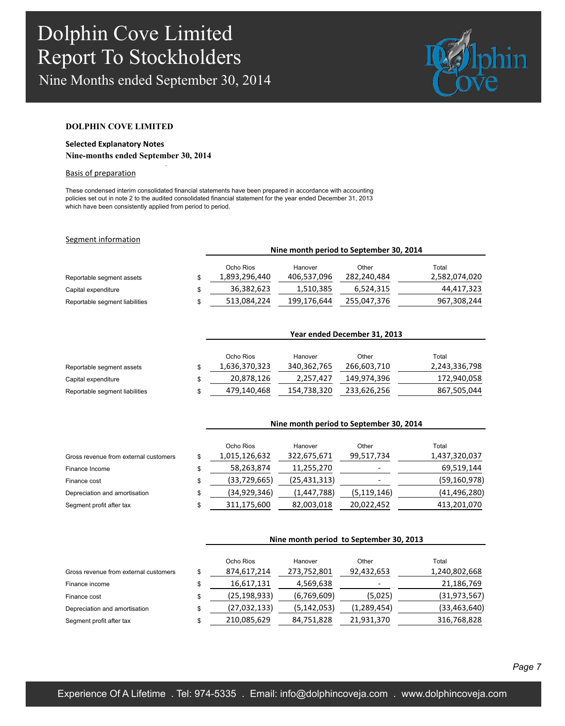Nine Months ended September 30, 2014

.



### **DOLPHIN COVE LIMITED**

## **Selected Explanatory Notes**

### **Nine-months ended September 30, 2014**

### Basis of preparation

These condensed interim consolidated financial statements have been prepared in accordance with accounting policies set out in note 2 to the audited consolidated financial statement for the year ended December 31, 2013 which have been consistently applied from period to period.

#### Segment information

|                                |                            | Nine month period to September 30, 2014 |                      |                        |
|--------------------------------|----------------------------|-----------------------------------------|----------------------|------------------------|
| Reportable segment assets      | Ocho Rios<br>1,893,296,440 | Hanover<br>406,537,096                  | Other<br>282,240,484 | Total<br>2,582,074,020 |
| Capital expenditure            | 36,382,623                 | 1,510,385                               | 6,524,315            | 44,417,323             |
| Reportable segment liabilities | \$<br>513,084,224          | 199,176,644                             | 255,047,376          | 967,308,244            |

|                                | Year ended December 31, 2013 |             |             |               |  |  |  |
|--------------------------------|------------------------------|-------------|-------------|---------------|--|--|--|
|                                | Ocho Rios                    | Hanover     | Other       | Total         |  |  |  |
| Reportable segment assets      | 1,636,370,323                | 340,362,765 | 266,603,710 | 2,243,336,798 |  |  |  |
| Capital expenditure            | 20.878.126                   | 2,257,427   | 149.974.396 | 172,940,058   |  |  |  |
| Reportable segment liabilities | \$<br>479,140,468            | 154,738,320 | 233,626,256 | 867,505,044   |  |  |  |

|                                       | Nine month period to September 30, 2014 |                |               |                |  |  |
|---------------------------------------|-----------------------------------------|----------------|---------------|----------------|--|--|
|                                       | Ocho Rios                               | Hanover        | Other         | Total          |  |  |
| Gross revenue from external customers | \$<br>1,015,126,632                     | 322,675,671    | 99,517,734    | 1,437,320,037  |  |  |
| Finance Income                        | \$<br>58,263,874                        | 11,255,270     |               | 69,519,144     |  |  |
| Finance cost                          | \$<br>(33, 729, 665)                    | (25, 431, 313) |               | (59, 160, 978) |  |  |
| Depreciation and amortisation         | \$<br>(34, 929, 346)                    | (1,447,788)    | (5, 119, 146) | (41, 496, 280) |  |  |
| Segment profit after tax              | \$<br>311,175,600                       | 82,003,018     | 20,022,452    | 413,201,070    |  |  |

|                                       | Nine month period to September 30, 2013 |               |               |                |  |  |
|---------------------------------------|-----------------------------------------|---------------|---------------|----------------|--|--|
|                                       | Ocho Rios                               | Hanover       | Other         | Total          |  |  |
| Gross revenue from external customers | \$<br>874,617,214                       | 273,752,801   | 92,432,653    | 1,240,802,668  |  |  |
| Finance income                        | \$<br>16,617,131                        | 4,569,638     |               | 21,186,769     |  |  |
| Finance cost                          | \$<br>(25,198,933)                      | (6,769,609)   | (5,025)       | (31, 973, 567) |  |  |
| Depreciation and amortisation         | \$<br>(27,032,133)                      | (5, 142, 053) | (1, 289, 454) | (33, 463, 640) |  |  |
| Segment profit after tax              | \$<br>210,085,629                       | 84,751,828    | 21,931,370    | 316,768,828    |  |  |